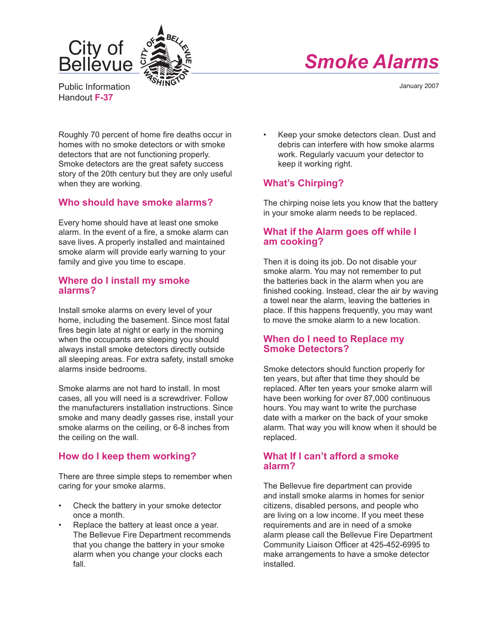



Public Information Handout **F-37**

January 2007

Roughly 70 percent of home fire deaths occur in homes with no smoke detectors or with smoke detectors that are not functioning properly. Smoke detectors are the great safety success story of the 20th century but they are only useful when they are working.

## **Who should have smoke alarms?**

Every home should have at least one smoke alarm. In the event of a fire, a smoke alarm can save lives. A properly installed and maintained smoke alarm will provide early warning to your family and give you time to escape.

### **Where do I install my smoke alarms?**

Install smoke alarms on every level of your home, including the basement. Since most fatal fires begin late at night or early in the morning when the occupants are sleeping you should always install smoke detectors directly outside all sleeping areas. For extra safety, install smoke alarms inside bedrooms.

Smoke alarms are not hard to install. In most cases, all you will need is a screwdriver. Follow the manufacturers installation instructions. Since smoke and many deadly gasses rise, install your smoke alarms on the ceiling, or 6-8 inches from the ceiling on the wall.

# **How do I keep them working?**

There are three simple steps to remember when caring for your smoke alarms.

- Check the battery in your smoke detector once a month.
- Replace the battery at least once a year. The Bellevue Fire Department recommends that you change the battery in your smoke alarm when you change your clocks each fall.

• Keep your smoke detectors clean. Dust and debris can interfere with how smoke alarms work. Regularly vacuum your detector to keep it working right.

# **What's Chirping?**

The chirping noise lets you know that the battery in your smoke alarm needs to be replaced.

## **What if the Alarm goes off while I am cooking?**

Then it is doing its job. Do not disable your smoke alarm. You may not remember to put the batteries back in the alarm when you are finished cooking. Instead, clear the air by waving a towel near the alarm, leaving the batteries in place. If this happens frequently, you may want to move the smoke alarm to a new location.

### **When do I need to Replace my Smoke Detectors?**

Smoke detectors should function properly for ten years, but after that time they should be replaced. After ten years your smoke alarm will have been working for over 87,000 continuous hours. You may want to write the purchase date with a marker on the back of your smoke alarm. That way you will know when it should be replaced.

### **What If I can't afford a smoke alarm?**

The Bellevue fire department can provide and install smoke alarms in homes for senior citizens, disabled persons, and people who are living on a low income. If you meet these requirements and are in need of a smoke alarm please call the Bellevue Fire Department Community Liaison Officer at 425-452-6995 to make arrangements to have a smoke detector installed.